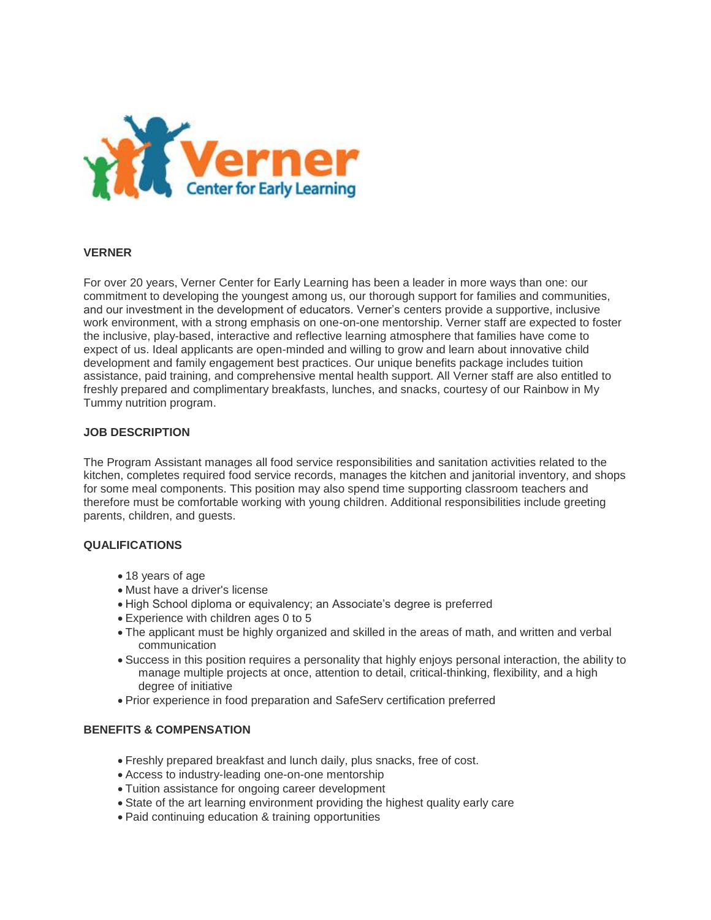

## **VERNER**

For over 20 years, Verner Center for Early Learning has been a leader in more ways than one: our commitment to developing the youngest among us, our thorough support for families and communities, and our investment in the development of educators. Verner's centers provide a supportive, inclusive work environment, with a strong emphasis on one-on-one mentorship. Verner staff are expected to foster the inclusive, play-based, interactive and reflective learning atmosphere that families have come to expect of us. Ideal applicants are open-minded and willing to grow and learn about innovative child development and family engagement best practices. Our unique benefits package includes tuition assistance, paid training, and comprehensive mental health support. All Verner staff are also entitled to freshly prepared and complimentary breakfasts, lunches, and snacks, courtesy of our Rainbow in My Tummy nutrition program.

## **JOB DESCRIPTION**

The Program Assistant manages all food service responsibilities and sanitation activities related to the kitchen, completes required food service records, manages the kitchen and janitorial inventory, and shops for some meal components. This position may also spend time supporting classroom teachers and therefore must be comfortable working with young children. Additional responsibilities include greeting parents, children, and guests.

## **QUALIFICATIONS**

- 18 years of age
- Must have a driver's license
- High School diploma or equivalency; an Associate's degree is preferred
- Experience with children ages 0 to 5
- The applicant must be highly organized and skilled in the areas of math, and written and verbal communication
- Success in this position requires a personality that highly enjoys personal interaction, the ability to manage multiple projects at once, attention to detail, critical-thinking, flexibility, and a high degree of initiative
- Prior experience in food preparation and SafeServ certification preferred

## **BENEFITS & COMPENSATION**

- Freshly prepared breakfast and lunch daily, plus snacks, free of cost.
- Access to industry-leading one-on-one mentorship
- Tuition assistance for ongoing career development
- State of the art learning environment providing the highest quality early care
- Paid continuing education & training opportunities